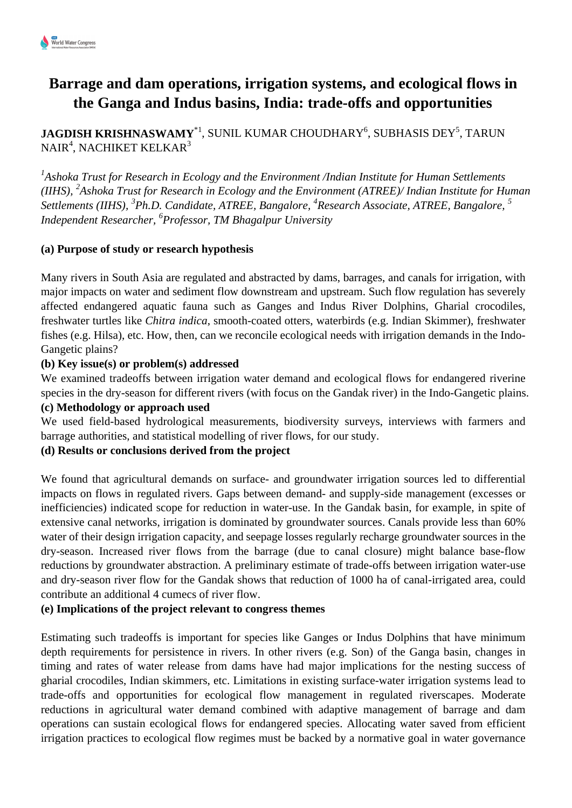# **Barrage and dam operations, irrigation systems, and ecological flows in the Ganga and Indus basins, India: trade-offs and opportunities**

<code>JAGDISH</code> KRISHNASWAMY\*<sup>1</sup>, SUNIL KUMAR CHOUDHARY $^6$ , SUBHASIS DEY $^5$ , TARUN NAIR $^4$ , NACHIKET KELKAR $^3$ 

*1 Ashoka Trust for Research in Ecology and the Environment /Indian Institute for Human Settlements (IIHS), <sup>2</sup> Ashoka Trust for Research in Ecology and the Environment (ATREE)/ Indian Institute for Human Settlements (IIHS), <sup>3</sup> Ph.D. Candidate, ATREE, Bangalore, <sup>4</sup> Research Associate, ATREE, Bangalore, <sup>5</sup> Independent Researcher, <sup>6</sup> Professor, TM Bhagalpur University*

### **(a) Purpose of study or research hypothesis**

Many rivers in South Asia are regulated and abstracted by dams, barrages, and canals for irrigation, with major impacts on water and sediment flow downstream and upstream. Such flow regulation has severely affected endangered aquatic fauna such as Ganges and Indus River Dolphins, Gharial crocodiles, freshwater turtles like *Chitra indica*, smooth-coated otters, waterbirds (e.g. Indian Skimmer), freshwater fishes (e.g. Hilsa), etc. How, then, can we reconcile ecological needs with irrigation demands in the Indo-Gangetic plains?

### **(b) Key issue(s) or problem(s) addressed**

We examined tradeoffs between irrigation water demand and ecological flows for endangered riverine species in the dry-season for different rivers (with focus on the Gandak river) in the Indo-Gangetic plains. **(c) Methodology or approach used**

We used field-based hydrological measurements, biodiversity surveys, interviews with farmers and barrage authorities, and statistical modelling of river flows, for our study.

# **(d) Results or conclusions derived from the project**

We found that agricultural demands on surface- and groundwater irrigation sources led to differential impacts on flows in regulated rivers. Gaps between demand- and supply-side management (excesses or inefficiencies) indicated scope for reduction in water-use. In the Gandak basin, for example, in spite of extensive canal networks, irrigation is dominated by groundwater sources. Canals provide less than 60% water of their design irrigation capacity, and seepage losses regularly recharge groundwater sources in the dry-season. Increased river flows from the barrage (due to canal closure) might balance base-flow reductions by groundwater abstraction. A preliminary estimate of trade-offs between irrigation water-use and dry-season river flow for the Gandak shows that reduction of 1000 ha of canal-irrigated area, could contribute an additional 4 cumecs of river flow.

# **(e) Implications of the project relevant to congress themes**

Estimating such tradeoffs is important for species like Ganges or Indus Dolphins that have minimum depth requirements for persistence in rivers. In other rivers (e.g. Son) of the Ganga basin, changes in timing and rates of water release from dams have had major implications for the nesting success of gharial crocodiles, Indian skimmers, etc. Limitations in existing surface-water irrigation systems lead to trade-offs and opportunities for ecological flow management in regulated riverscapes. Moderate reductions in agricultural water demand combined with adaptive management of barrage and dam operations can sustain ecological flows for endangered species. Allocating water saved from efficient irrigation practices to ecological flow regimes must be backed by a normative goal in water governance